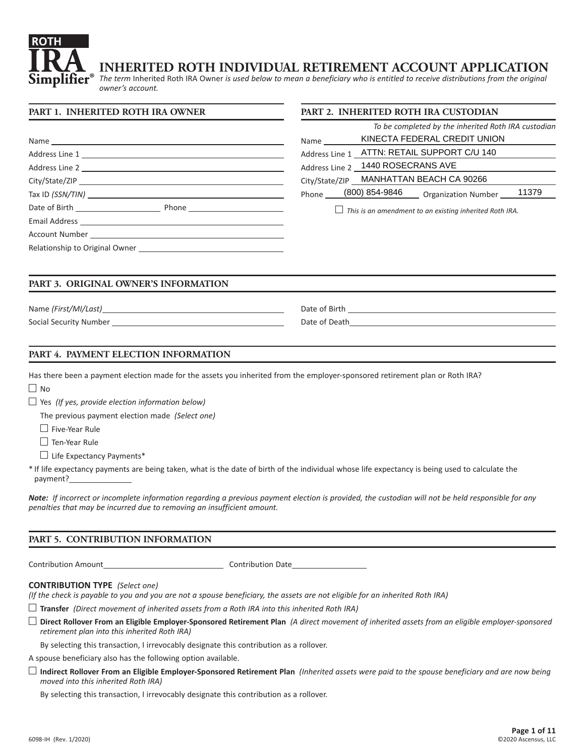

# **INHERITED ROTH INDIVIDUAL RETIREMENT ACCOUNT APPLICATION**

**PART 2. INHERITED ROTH IRA CUSTODIAN**

*The term* Inherited Roth IRA Owner *is used below to mean a beneficiary who is entitled to receive distributions from the original owner's account.* 

#### **PART 1. INHERITED ROTH IRA OWNER**

|                                                                                                                                                                                                                                | To be completed by the inherited Roth IRA custodian            |
|--------------------------------------------------------------------------------------------------------------------------------------------------------------------------------------------------------------------------------|----------------------------------------------------------------|
|                                                                                                                                                                                                                                | KINECTA FEDERAL CREDIT UNION<br>Name                           |
|                                                                                                                                                                                                                                | Address Line 1 _ATTN: RETAIL SUPPORT C/U 140                   |
|                                                                                                                                                                                                                                | Address Line 2 _ 1440 ROSECRANS AVE                            |
| City/State/ZIP                                                                                                                                                                                                                 | City/State/ZIP MANHATTAN BEACH CA 90266                        |
| Tax ID (SSN/TIN) New York Contract the Contract of the Contract of the Contract of the Contract of the Contract of the Contract of the Contract of the Contract of the Contract of the Contract of the Contract of the Contrac | Phone (800) 854-9846 Organization Number 11379                 |
|                                                                                                                                                                                                                                | $\Box$ This is an amendment to an existing inherited Roth IRA. |
|                                                                                                                                                                                                                                |                                                                |
| Account Number 2008 and 2008 and 2008 and 2008 and 2008 and 2008 and 2008 and 2008 and 2008 and 2008 and 2008                                                                                                                  |                                                                |
| Relationship to Original Owner <b>Exercise 2018</b>                                                                                                                                                                            |                                                                |

# **PART 3. ORIGINAL OWNER'S INFORMATION**

Name *(First/MI/Last)* Date of Birth

Social Security Number **Date of Death** Date of Death Date of Death

|  |  | PART 4. PAYMENT ELECTION INFORMATION |  |  |
|--|--|--------------------------------------|--|--|
|--|--|--------------------------------------|--|--|

Has there been a payment election made for the assets you inherited from the employer-sponsored retirement plan or Roth IRA?  $\Box$  No

Yes *(If yes, provide election information below)*

The previous payment election made *(Select one)*

 $\Box$  Five-Year Rule

 $\Box$  Ten-Year Rule

 $\Box$  Life Expectancy Payments\*

\* If life expectancy payments are being taken, what is the date of birth of the individual whose life expectancy is being used to calculate the payment?

*Note: If incorrect or incomplete information regarding a previous payment election is provided, the custodian will not be held responsible for any penalties that may be incurred due to removing an insufficient amount.*

#### **PART 5. CONTRIBUTION INFORMATION**

Contribution Amount Contribution Date

#### **CONTRIBUTION TYPE** *(Select one)*

*(If the check is payable to you and you are not a spouse beneficiary, the assets are not eligible for an inherited Roth IRA)*

**Transfer** *(Direct movement of inherited assets from a Roth IRA into this inherited Roth IRA)*

**Direct Rollover From an Eligible Employer-Sponsored Retirement Plan** *(A direct movement of inherited assets from an eligible employer-sponsored retirement plan into this inherited Roth IRA)*

By selecting this transaction, I irrevocably designate this contribution as a rollover.

A spouse beneficiary also has the following option available.

**Indirect Rollover From an Eligible Employer-Sponsored Retirement Plan** *(Inherited assets were paid to the spouse beneficiary and are now being moved into this inherited Roth IRA)*

By selecting this transaction, I irrevocably designate this contribution as a rollover.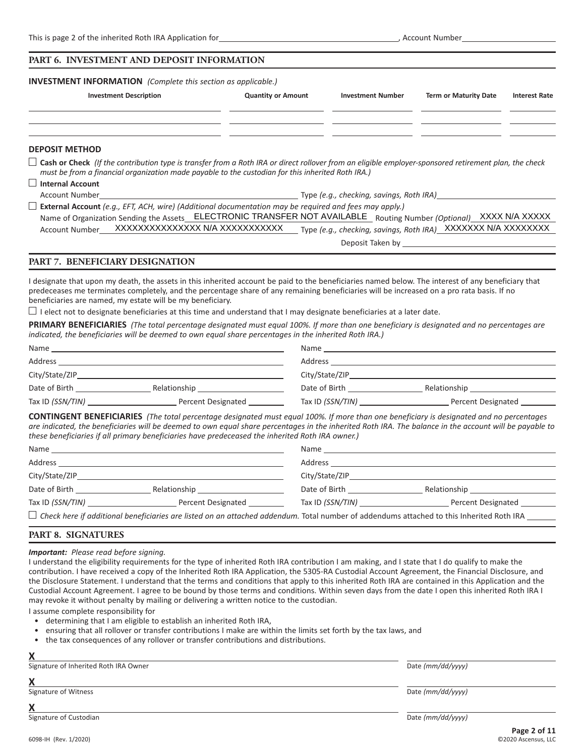#### **PART 6. INVESTMENT AND DEPOSIT INFORMATION**

**INVESTMENT INFORMATION** *(Complete this section as applicable.)*

| <b>Investment Description</b>                                                                                                                                                                                                                                                         | <b>Quantity or Amount</b> | <b>Investment Number</b> | <b>Term or Maturity Date</b>                                                                                                                                                                                                                                                                   | <b>Interest Rate</b> |
|---------------------------------------------------------------------------------------------------------------------------------------------------------------------------------------------------------------------------------------------------------------------------------------|---------------------------|--------------------------|------------------------------------------------------------------------------------------------------------------------------------------------------------------------------------------------------------------------------------------------------------------------------------------------|----------------------|
|                                                                                                                                                                                                                                                                                       |                           |                          |                                                                                                                                                                                                                                                                                                |                      |
| <b>DEPOSIT METHOD</b>                                                                                                                                                                                                                                                                 |                           |                          |                                                                                                                                                                                                                                                                                                |                      |
| $\Box$ Cash or Check (If the contribution type is transfer from a Roth IRA or direct rollover from an eligible employer-sponsored retirement plan, the check<br>must be from a financial organization made payable to the custodian for this inherited Roth IRA.)                     |                           |                          |                                                                                                                                                                                                                                                                                                |                      |
| $\Box$ Internal Account                                                                                                                                                                                                                                                               |                           |                          |                                                                                                                                                                                                                                                                                                |                      |
| Account Number <b>Example 2</b> and the set of the set of the set of the set of the set of the set of the set of the set of the set of the set of the set of the set of the set of the set of the set of the set of the set of the                                                    |                           |                          |                                                                                                                                                                                                                                                                                                |                      |
| $\Box$ External Account (e.g., EFT, ACH, wire) (Additional documentation may be required and fees may apply.)<br>Name of Organization Sending the Assets ELECTRONIC TRANSFER NOT AVAILABLE Routing Number (Optional) XXXX N/A XXXXX<br>Account Number XXXXXXXXXXXXXXX N/A XXXXXXXXXXX |                           |                          | Type (e.g., checking, savings, Roth IRA) XXXXXXX N/A XXXXXXXX<br>Deposit Taken by the contract of the contract of the contract of the contract of the contract of the contract of the contract of the contract of the contract of the contract of the contract of the contract of the contract |                      |
|                                                                                                                                                                                                                                                                                       |                           |                          |                                                                                                                                                                                                                                                                                                |                      |

#### **PART 7. BENEFICIARY DESIGNATION**

I designate that upon my death, the assets in this inherited account be paid to the beneficiaries named below. The interest of any beneficiary that predeceases me terminates completely, and the percentage share of any remaining beneficiaries will be increased on a pro rata basis. If no beneficiaries are named, my estate will be my beneficiary.

 $\Box$  I elect not to designate beneficiaries at this time and understand that I may designate beneficiaries at a later date.

**PRIMARY BENEFICIARIES** *(The total percentage designated must equal 100%. If more than one beneficiary is designated and no percentages are indicated, the beneficiaries will be deemed to own equal share percentages in the inherited Roth IRA.)*

| Name             |                                                                                                                       | Name             |                    |
|------------------|-----------------------------------------------------------------------------------------------------------------------|------------------|--------------------|
| Address          | <u> 1989 - Johann Stoff, deutscher Stoff, der Stoff, der Stoff, der Stoff, der Stoff, der Stoff, der Stoff, der S</u> | Address          |                    |
| City/State/ZIP   |                                                                                                                       | City/State/ZIP   |                    |
| Date of Birth    | Relationship                                                                                                          | Date of Birth    | Relationship       |
| Tax ID (SSN/TIN) | Percent Designated                                                                                                    | Tax ID (SSN/TIN) | Percent Designated |

**CONTINGENT BENEFICIARIES** *(The total percentage designated must equal 100%. If more than one beneficiary is designated and no percentages are indicated, the beneficiaries will be deemed to own equal share percentages in the inherited Roth IRA. The balance in the account will be payable to these beneficiaries if all primary beneficiaries have predeceased the inherited Roth IRA owner.)*

|                                    |                                                                                                                                                 |                                  | Name and the state of the state of the state of the state of the state of the state of the state of the state of the state of the state of the state of the state of the state of the state of the state of the state of the s |
|------------------------------------|-------------------------------------------------------------------------------------------------------------------------------------------------|----------------------------------|--------------------------------------------------------------------------------------------------------------------------------------------------------------------------------------------------------------------------------|
| Address                            |                                                                                                                                                 | Address                          |                                                                                                                                                                                                                                |
|                                    | City/State/ZIP                                                                                                                                  | City/State/ZIP                   |                                                                                                                                                                                                                                |
| Date of Birth <b>Exercise 2018</b> | Relationship ______________________                                                                                                             | Date of Birth <b>Exercise 20</b> |                                                                                                                                                                                                                                |
|                                    | Percent Designated                                                                                                                              | Tax ID (SSN/TIN)                 | Percent Designated                                                                                                                                                                                                             |
|                                    | $\Box$ Check here if additional beneficiaries are listed on an attached addendum. Total number of addendums attached to this Inherited Roth IRA |                                  |                                                                                                                                                                                                                                |

## **PART 8. SIGNATURES**

#### *Important: Please read before signing.*

I understand the eligibility requirements for the type of inherited Roth IRA contribution I am making, and I state that I do qualify to make the contribution. I have received a copy of the Inherited Roth IRA Application, the 5305-RA Custodial Account Agreement, the Financial Disclosure, and the Disclosure Statement. I understand that the terms and conditions that apply to this inherited Roth IRA are contained in this Application and the Custodial Account Agreement. I agree to be bound by those terms and conditions. Within seven days from the date I open this inherited Roth IRA I may revoke it without penalty by mailing or delivering a written notice to the custodian.

I assume complete responsibility for

- determining that I am eligible to establish an inherited Roth IRA,
- ensuring that all rollover or transfer contributions I make are within the limits set forth by the tax laws, and
- the tax consequences of any rollover or transfer contributions and distributions.

| v                                     |                   |
|---------------------------------------|-------------------|
| Signature of Inherited Roth IRA Owner | Date (mm/dd/yyyy) |
| v<br>Λ                                |                   |
| Signature of Witness                  | Date (mm/dd/yyyy) |
| v<br>Λ                                |                   |
| Signature of Custodian                | Date (mm/dd/yyyy) |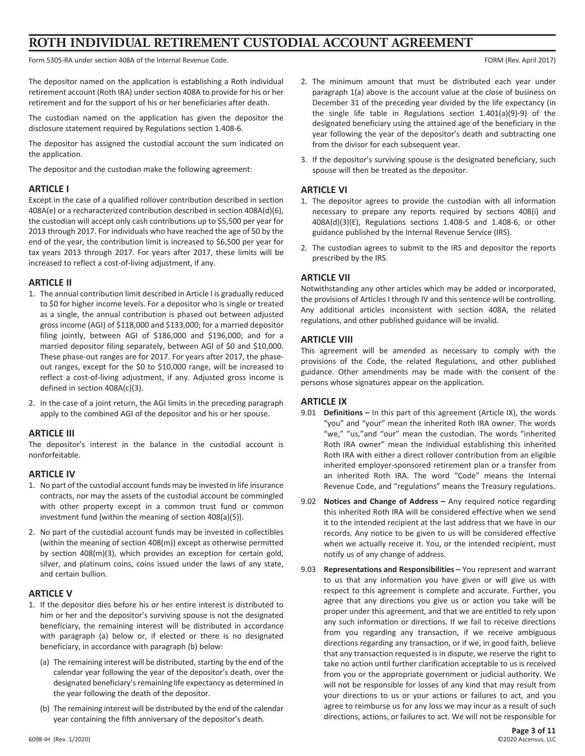# **ROTH INDIVIDUAL RETIREMENT CUSTODIAL ACCOUNT AGREEMENT**

Form 5305-RA under section 408A of the Internal Revenue Code. For example of the Internal Revenue Code. For example 2017)

The depositor named on the application is establishing a Roth individual retirement account (Roth IRA) under section 408A to provide for his or her retirement and for the support of his or her beneficiaries after death.

The custodian named on the application has given the depositor the disclosure statement required by Regulations section 1.408-6.

The depositor has assigned the custodial account the sum indicated on the application.

The depositor and the custodian make the following agreement:

#### **ARTICLE I**

Except in the case of a qualified rollover contribution described in section 408A(e) or a recharacterized contribution described in section 408A(d)(6), the custodian will accept only cash contributions up to \$5,500 per year for 2013 through 2017. For individuals who have reached the age of 50 by the end of the year, the contribution limit is increased to \$6,500 per year for tax years 2013 through 2017. For years after 2017, these limits will be increased to reflect a cost-of-living adjustment, if any.

# **ARTICLE II**

- 1. The annual contribution limit described in Article I is gradually reduced to \$0 for higher income levels. For a depositor who is single or treated as a single, the annual contribution is phased out between adjusted gross income (AGI) of \$118,000 and \$133,000; for a married depositor filing jointly, between AGI of \$186,000 and \$196,000; and for a married depositor filing separately, between AGI of \$0 and \$10,000. These phase-out ranges are for 2017. For years after 2017, the phaseout ranges, except for the \$0 to \$10,000 range, will be increased to reflect a cost-of-living adjustment, if any. Adjusted gross income is defined in section 408A(c)(3).
- 2. In the case of a joint return, the AGI limits in the preceding paragraph apply to the combined AGI of the depositor and his or her spouse.

# **ARTICLE III**

The depositor's interest in the balance in the custodial account is nonforfeitable.

#### **ARTICLE IV**

- 1. No part of the custodial account funds may be invested in life insurance contracts, nor may the assets of the custodial account be commingled with other property except in a common trust fund or common investment fund (within the meaning of section 408(a)(5)).
- 2. No part of the custodial account funds may be invested in collectibles (within the meaning of section 408(m)) except as otherwise permitted by section 408(m)(3), which provides an exception for certain gold, silver, and platinum coins, coins issued under the laws of any state, and certain bullion.

# **ARTICLE V**

- 1. If the depositor dies before his or her entire interest is distributed to him or her and the depositor's surviving spouse is not the designated beneficiary, the remaining interest will be distributed in accordance with paragraph (a) below or, if elected or there is no designated beneficiary, in accordance with paragraph (b) below:
	- (a) The remaining interest will be distributed, starting by the end of the calendar year following the year of the depositor's death, over the designated beneficiary's remaining life expectancy as determined in the year following the death of the depositor.
	- (b) The remaining interest will be distributed by the end of the calendar year containing the fifth anniversary of the depositor's death.
- 2. The minimum amount that must be distributed each year under paragraph 1(a) above is the account value at the close of business on December 31 of the preceding year divided by the life expectancy (in the single life table in Regulations section 1.401(a)(9)-9) of the designated beneficiary using the attained age of the beneficiary in the year following the year of the depositor's death and subtracting one from the divisor for each subsequent year.
- 3. If the depositor's surviving spouse is the designated beneficiary, such spouse will then be treated as the depositor.

# **ARTICLE VI**

- 1. The depositor agrees to provide the custodian with all information necessary to prepare any reports required by sections 408(i) and 408A(d)(3)(E), Regulations sections 1.408-5 and 1.408-6, or other guidance published by the Internal Revenue Service (IRS).
- 2. The custodian agrees to submit to the IRS and depositor the reports prescribed by the IRS.

# **ARTICLE VII**

Notwithstanding any other articles which may be added or incorporated, the provisions of Articles I through IV and this sentence will be controlling. Any additional articles inconsistent with section 408A, the related regulations, and other published guidance will be invalid.

# **ARTICLE VIII**

This agreement will be amended as necessary to comply with the provisions of the Code, the related Regulations, and other published guidance. Other amendments may be made with the consent of the persons whose signatures appear on the application.

# **ARTICLE IX**

- 9.01 **Definitions –** In this part of this agreement (Article IX), the words "you" and "your" mean the inherited Roth IRA owner. The words "we," "us,"and "our" mean the custodian. The words "inherited Roth IRA owner" mean the individual establishing this inherited Roth IRA with either a direct rollover contribution from an eligible inherited employer-sponsored retirement plan or a transfer from an inherited Roth IRA. The word "Code" means the Internal Revenue Code, and "regulations" means the Treasury regulations.
- 9.02 **Notices and Change of Address –** Any required notice regarding this inherited Roth IRA will be considered effective when we send it to the intended recipient at the last address that we have in our records. Any notice to be given to us will be considered effective when we actually receive it. You, or the intended recipient, must notify us of any change of address.
- 9.03 **Representations and Responsibilities –** You represent and warrant to us that any information you have given or will give us with respect to this agreement is complete and accurate. Further, you agree that any directions you give us or action you take will be proper under this agreement, and that we are entitled to rely upon any such information or directions. If we fail to receive directions from you regarding any transaction, if we receive ambiguous directions regarding any transaction, or if we, in good faith, believe that any transaction requested is in dispute, we reserve the right to take no action until further clarification acceptable to us is received from you or the appropriate government or judicial authority. We will not be responsible for losses of any kind that may result from your directions to us or your actions or failures to act, and you agree to reimburse us for any loss we may incur as a result of such directions, actions, or failures to act. We will not be responsible for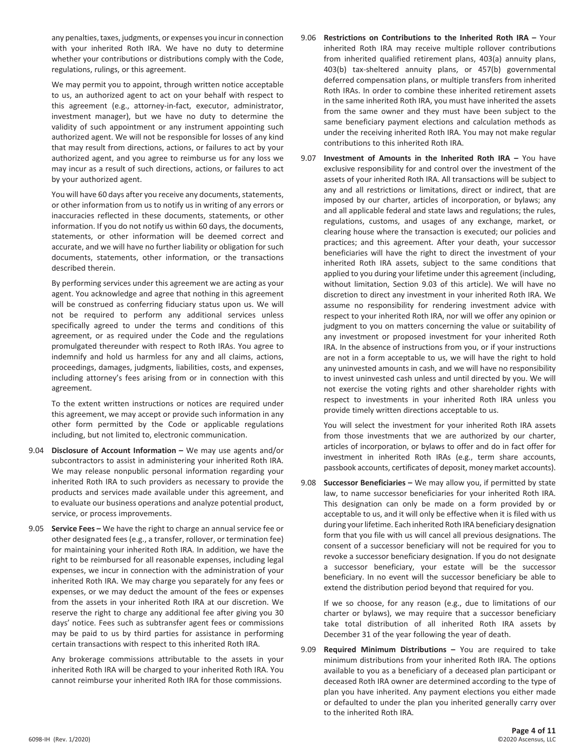any penalties, taxes, judgments, or expenses you incur in connection with your inherited Roth IRA. We have no duty to determine whether your contributions or distributions comply with the Code, regulations, rulings, or this agreement.

 We may permit you to appoint, through written notice acceptable to us, an authorized agent to act on your behalf with respect to this agreement (e.g., attorney-in-fact, executor, administrator, investment manager), but we have no duty to determine the validity of such appointment or any instrument appointing such authorized agent. We will not be responsible for losses of any kind that may result from directions, actions, or failures to act by your authorized agent, and you agree to reimburse us for any loss we may incur as a result of such directions, actions, or failures to act by your authorized agent.

 You will have 60 days after you receive any documents, statements, or other information from us to notify us in writing of any errors or inaccuracies reflected in these documents, statements, or other information. If you do not notify us within 60 days, the documents, statements, or other information will be deemed correct and accurate, and we will have no further liability or obligation for such documents, statements, other information, or the transactions described therein.

 By performing services under this agreement we are acting as your agent. You acknowledge and agree that nothing in this agreement will be construed as conferring fiduciary status upon us. We will not be required to perform any additional services unless specifically agreed to under the terms and conditions of this agreement, or as required under the Code and the regulations promulgated thereunder with respect to Roth IRAs. You agree to indemnify and hold us harmless for any and all claims, actions, proceedings, damages, judgments, liabilities, costs, and expenses, including attorney's fees arising from or in connection with this agreement.

 To the extent written instructions or notices are required under this agreement, we may accept or provide such information in any other form permitted by the Code or applicable regulations including, but not limited to, electronic communication.

- 9.04 **Disclosure of Account Information –** We may use agents and/or subcontractors to assist in administering your inherited Roth IRA. We may release nonpublic personal information regarding your inherited Roth IRA to such providers as necessary to provide the products and services made available under this agreement, and to evaluate our business operations and analyze potential product, service, or process improvements.
- 9.05 **Service Fees –** We have the right to charge an annual service fee or other designated fees (e.g., a transfer, rollover, or termination fee) for maintaining your inherited Roth IRA. In addition, we have the right to be reimbursed for all reasonable expenses, including legal expenses, we incur in connection with the administration of your inherited Roth IRA. We may charge you separately for any fees or expenses, or we may deduct the amount of the fees or expenses from the assets in your inherited Roth IRA at our discretion. We reserve the right to charge any additional fee after giving you 30 days' notice. Fees such as subtransfer agent fees or commissions may be paid to us by third parties for assistance in performing certain transactions with respect to this inherited Roth IRA.

 Any brokerage commissions attributable to the assets in your inherited Roth IRA will be charged to your inherited Roth IRA. You cannot reimburse your inherited Roth IRA for those commissions.

- 9.06 **Restrictions on Contributions to the Inherited Roth IRA –** Your inherited Roth IRA may receive multiple rollover contributions from inherited qualified retirement plans, 403(a) annuity plans, 403(b) tax-sheltered annuity plans, or 457(b) governmental deferred compensation plans, or multiple transfers from inherited Roth IRAs. In order to combine these inherited retirement assets in the same inherited Roth IRA, you must have inherited the assets from the same owner and they must have been subject to the same beneficiary payment elections and calculation methods as under the receiving inherited Roth IRA. You may not make regular contributions to this inherited Roth IRA.
- 9.07 **Investment of Amounts in the Inherited Roth IRA –** You have exclusive responsibility for and control over the investment of the assets of your inherited Roth IRA. All transactions will be subject to any and all restrictions or limitations, direct or indirect, that are imposed by our charter, articles of incorporation, or bylaws; any and all applicable federal and state laws and regulations; the rules, regulations, customs, and usages of any exchange, market, or clearing house where the transaction is executed; our policies and practices; and this agreement. After your death, your successor beneficiaries will have the right to direct the investment of your inherited Roth IRA assets, subject to the same conditions that applied to you during your lifetime under this agreement (including, without limitation, Section 9.03 of this article). We will have no discretion to direct any investment in your inherited Roth IRA. We assume no responsibility for rendering investment advice with respect to your inherited Roth IRA, nor will we offer any opinion or judgment to you on matters concerning the value or suitability of any investment or proposed investment for your inherited Roth IRA. In the absence of instructions from you, or if your instructions are not in a form acceptable to us, we will have the right to hold any uninvested amounts in cash, and we will have no responsibility to invest uninvested cash unless and until directed by you. We will not exercise the voting rights and other shareholder rights with respect to investments in your inherited Roth IRA unless you provide timely written directions acceptable to us.

 You will select the investment for your inherited Roth IRA assets from those investments that we are authorized by our charter, articles of incorporation, or bylaws to offer and do in fact offer for investment in inherited Roth IRAs (e.g., term share accounts, passbook accounts, certificates of deposit, money market accounts).

9.08 **Successor Beneficiaries –** We may allow you, if permitted by state law, to name successor beneficiaries for your inherited Roth IRA. This designation can only be made on a form provided by or acceptable to us, and it will only be effective when it is filed with us during your lifetime. Each inherited Roth IRA beneficiary designation form that you file with us will cancel all previous designations. The consent of a successor beneficiary will not be required for you to revoke a successor beneficiary designation. If you do not designate a successor beneficiary, your estate will be the successor beneficiary. In no event will the successor beneficiary be able to extend the distribution period beyond that required for you.

 If we so choose, for any reason (e.g., due to limitations of our charter or bylaws), we may require that a successor beneficiary take total distribution of all inherited Roth IRA assets by December 31 of the year following the year of death.

9.09 **Required Minimum Distributions –** You are required to take minimum distributions from your inherited Roth IRA. The options available to you as a beneficiary of a deceased plan participant or deceased Roth IRA owner are determined according to the type of plan you have inherited. Any payment elections you either made or defaulted to under the plan you inherited generally carry over to the inherited Roth IRA.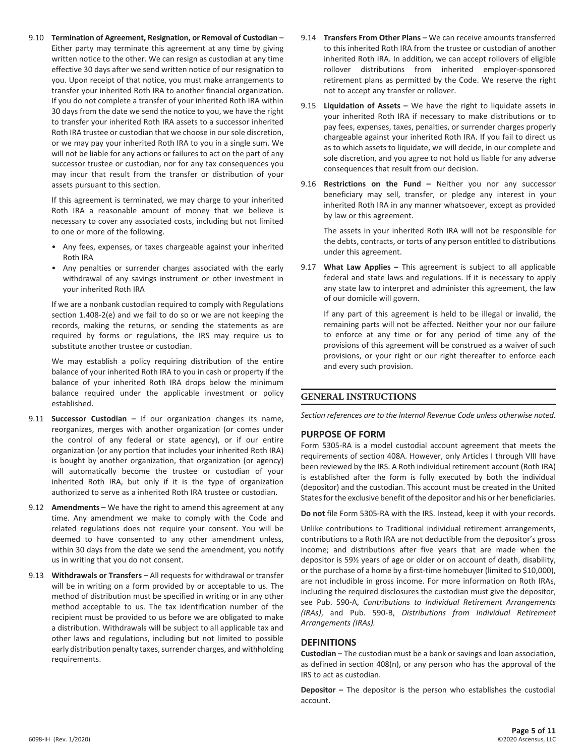9.10 **Termination of Agreement, Resignation, or Removal of Custodian –** Either party may terminate this agreement at any time by giving written notice to the other. We can resign as custodian at any time effective 30 days after we send written notice of our resignation to you. Upon receipt of that notice, you must make arrangements to transfer your inherited Roth IRA to another financial organization. If you do not complete a transfer of your inherited Roth IRA within 30 days from the date we send the notice to you, we have the right to transfer your inherited Roth IRA assets to a successor inherited Roth IRA trustee or custodian that we choose in our sole discretion, or we may pay your inherited Roth IRA to you in a single sum. We will not be liable for any actions or failures to act on the part of any successor trustee or custodian, nor for any tax consequences you may incur that result from the transfer or distribution of your assets pursuant to this section.

 If this agreement is terminated, we may charge to your inherited Roth IRA a reasonable amount of money that we believe is necessary to cover any associated costs, including but not limited to one or more of the following.

- Any fees, expenses, or taxes chargeable against your inherited Roth IRA
- Any penalties or surrender charges associated with the early withdrawal of any savings instrument or other investment in your inherited Roth IRA

 If we are a nonbank custodian required to comply with Regulations section 1.408-2(e) and we fail to do so or we are not keeping the records, making the returns, or sending the statements as are required by forms or regulations, the IRS may require us to substitute another trustee or custodian.

 We may establish a policy requiring distribution of the entire balance of your inherited Roth IRA to you in cash or property if the balance of your inherited Roth IRA drops below the minimum balance required under the applicable investment or policy established.

- 9.11 **Successor Custodian –** If our organization changes its name, reorganizes, merges with another organization (or comes under the control of any federal or state agency), or if our entire organization (or any portion that includes your inherited Roth IRA) is bought by another organization, that organization (or agency) will automatically become the trustee or custodian of your inherited Roth IRA, but only if it is the type of organization authorized to serve as a inherited Roth IRA trustee or custodian.
- 9.12 **Amendments –** We have the right to amend this agreement at any time. Any amendment we make to comply with the Code and related regulations does not require your consent. You will be deemed to have consented to any other amendment unless, within 30 days from the date we send the amendment, you notify us in writing that you do not consent.
- 9.13 **Withdrawals or Transfers –** All requests for withdrawal or transfer will be in writing on a form provided by or acceptable to us. The method of distribution must be specified in writing or in any other method acceptable to us. The tax identification number of the recipient must be provided to us before we are obligated to make a distribution. Withdrawals will be subject to all applicable tax and other laws and regulations, including but not limited to possible early distribution penalty taxes, surrender charges, and withholding requirements.
- 9.14 **Transfers From Other Plans –** We can receive amounts transferred to this inherited Roth IRA from the trustee or custodian of another inherited Roth IRA. In addition, we can accept rollovers of eligible rollover distributions from inherited employer-sponsored retirement plans as permitted by the Code. We reserve the right not to accept any transfer or rollover.
- 9.15 **Liquidation of Assets –** We have the right to liquidate assets in your inherited Roth IRA if necessary to make distributions or to pay fees, expenses, taxes, penalties, or surrender charges properly chargeable against your inherited Roth IRA. If you fail to direct us as to which assets to liquidate, we will decide, in our complete and sole discretion, and you agree to not hold us liable for any adverse consequences that result from our decision.
- 9.16 **Restrictions on the Fund –** Neither you nor any successor beneficiary may sell, transfer, or pledge any interest in your inherited Roth IRA in any manner whatsoever, except as provided by law or this agreement.

 The assets in your inherited Roth IRA will not be responsible for the debts, contracts, or torts of any person entitled to distributions under this agreement.

9.17 **What Law Applies –** This agreement is subject to all applicable federal and state laws and regulations. If it is necessary to apply any state law to interpret and administer this agreement, the law of our domicile will govern.

 If any part of this agreement is held to be illegal or invalid, the remaining parts will not be affected. Neither your nor our failure to enforce at any time or for any period of time any of the provisions of this agreement will be construed as a waiver of such provisions, or your right or our right thereafter to enforce each and every such provision.

# **GENERAL INSTRUCTIONS**

*Section references are to the Internal Revenue Code unless otherwise noted.*

# **PURPOSE OF FORM**

Form 5305-RA is a model custodial account agreement that meets the requirements of section 408A. However, only Articles I through VIII have been reviewed by the IRS. A Roth individual retirement account (Roth IRA) is established after the form is fully executed by both the individual (depositor) and the custodian. This account must be created in the United States for the exclusive benefit of the depositor and his or her beneficiaries.

**Do not** file Form 5305-RA with the IRS. Instead, keep it with your records.

Unlike contributions to Traditional individual retirement arrangements, contributions to a Roth IRA are not deductible from the depositor's gross income; and distributions after five years that are made when the depositor is 59½ years of age or older or on account of death, disability, or the purchase of a home by a first-time homebuyer (limited to \$10,000), are not includible in gross income. For more information on Roth IRAs, including the required disclosures the custodian must give the depositor, see Pub. 590-A, *Contributions to Individual Retirement Arrangements (IRAs)*, and Pub. 590-B, *Distributions from Individual Retirement Arrangements (IRAs).*

# **DEFINITIONS**

**Custodian –** The custodian must be a bank or savings and loan association, as defined in section 408(n), or any person who has the approval of the IRS to act as custodian.

**Depositor –** The depositor is the person who establishes the custodial account.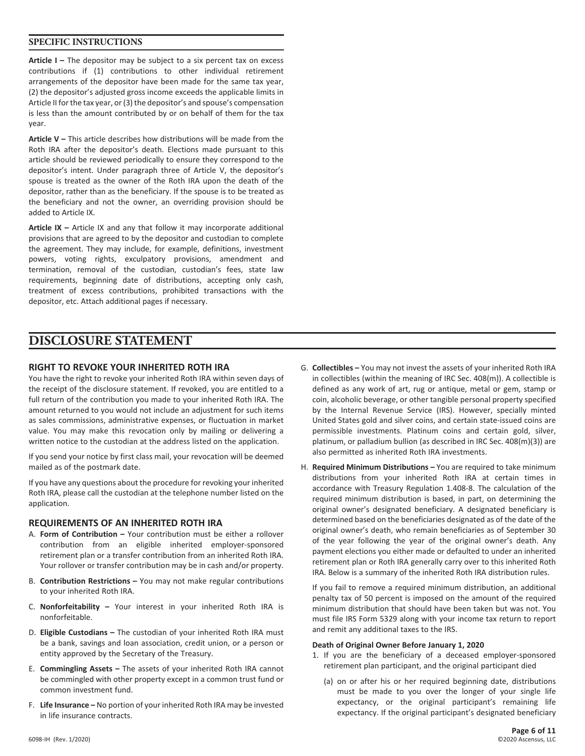# **SPECIFIC INSTRUCTIONS**

**Article I –** The depositor may be subject to a six percent tax on excess contributions if (1) contributions to other individual retirement arrangements of the depositor have been made for the same tax year, (2) the depositor's adjusted gross income exceeds the applicable limits in Article II for the tax year, or (3) the depositor's and spouse's compensation is less than the amount contributed by or on behalf of them for the tax year.

**Article V –** This article describes how distributions will be made from the Roth IRA after the depositor's death. Elections made pursuant to this article should be reviewed periodically to ensure they correspond to the depositor's intent. Under paragraph three of Article V, the depositor's spouse is treated as the owner of the Roth IRA upon the death of the depositor, rather than as the beneficiary. If the spouse is to be treated as the beneficiary and not the owner, an overriding provision should be added to Article IX.

**Article IX –** Article IX and any that follow it may incorporate additional provisions that are agreed to by the depositor and custodian to complete the agreement. They may include, for example, definitions, investment powers, voting rights, exculpatory provisions, amendment and termination, removal of the custodian, custodian's fees, state law requirements, beginning date of distributions, accepting only cash, treatment of excess contributions, prohibited transactions with the depositor, etc. Attach additional pages if necessary.

# **DISCLOSURE STATEMENT**

#### **RIGHT TO REVOKE YOUR INHERITED ROTH IRA**

You have the right to revoke your inherited Roth IRA within seven days of the receipt of the disclosure statement. If revoked, you are entitled to a full return of the contribution you made to your inherited Roth IRA. The amount returned to you would not include an adjustment for such items as sales commissions, administrative expenses, or fluctuation in market value. You may make this revocation only by mailing or delivering a written notice to the custodian at the address listed on the application.

If you send your notice by first class mail, your revocation will be deemed mailed as of the postmark date.

If you have any questions about the procedure for revoking your inherited Roth IRA, please call the custodian at the telephone number listed on the application.

#### **REQUIREMENTS OF AN INHERITED ROTH IRA**

- A. **Form of Contribution –** Your contribution must be either a rollover contribution from an eligible inherited employer-sponsored retirement plan or a transfer contribution from an inherited Roth IRA. Your rollover or transfer contribution may be in cash and/or property.
- B. **Contribution Restrictions –** You may not make regular contributions to your inherited Roth IRA.
- C. **Nonforfeitability –** Your interest in your inherited Roth IRA is nonforfeitable.
- D. **Eligible Custodians –** The custodian of your inherited Roth IRA must be a bank, savings and loan association, credit union, or a person or entity approved by the Secretary of the Treasury.
- E. **Commingling Assets –** The assets of your inherited Roth IRA cannot be commingled with other property except in a common trust fund or common investment fund.
- F. **Life Insurance –** No portion of your inherited Roth IRA may be invested in life insurance contracts.
- G. **Collectibles –** You may not invest the assets of your inherited Roth IRA in collectibles (within the meaning of IRC Sec. 408(m)). A collectible is defined as any work of art, rug or antique, metal or gem, stamp or coin, alcoholic beverage, or other tangible personal property specified by the Internal Revenue Service (IRS). However, specially minted United States gold and silver coins, and certain state-issued coins are permissible investments. Platinum coins and certain gold, silver, platinum, or palladium bullion (as described in IRC Sec. 408(m)(3)) are also permitted as inherited Roth IRA investments.
- H. **Required Minimum Distributions –** You are required to take minimum distributions from your inherited Roth IRA at certain times in accordance with Treasury Regulation 1.408-8. The calculation of the required minimum distribution is based, in part, on determining the original owner's designated beneficiary. A designated beneficiary is determined based on the beneficiaries designated as of the date of the original owner's death, who remain beneficiaries as of September 30 of the year following the year of the original owner's death. Any payment elections you either made or defaulted to under an inherited retirement plan or Roth IRA generally carry over to this inherited Roth IRA. Below is a summary of the inherited Roth IRA distribution rules.

 If you fail to remove a required minimum distribution, an additional penalty tax of 50 percent is imposed on the amount of the required minimum distribution that should have been taken but was not. You must file IRS Form 5329 along with your income tax return to report and remit any additional taxes to the IRS.

#### **Death of Original Owner Before January 1, 2020**

- 1. If you are the beneficiary of a deceased employer-sponsored retirement plan participant, and the original participant died
	- (a) on or after his or her required beginning date, distributions must be made to you over the longer of your single life expectancy, or the original participant's remaining life expectancy. If the original participant's designated beneficiary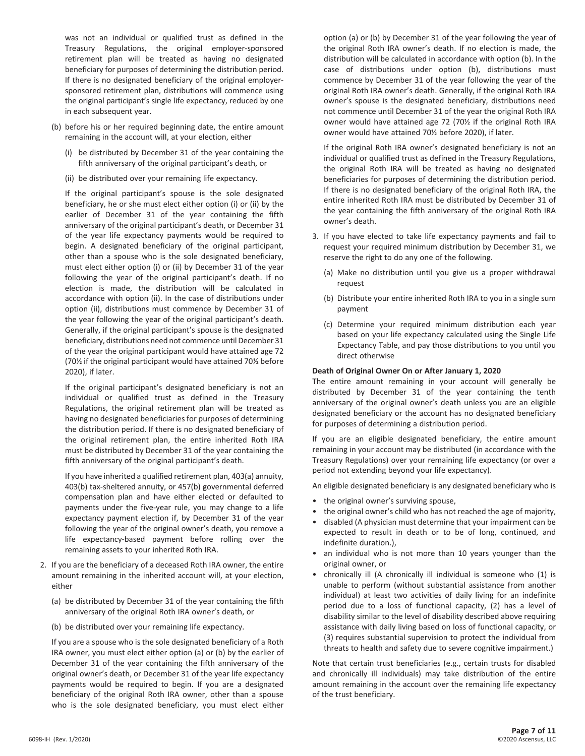was not an individual or qualified trust as defined in the Treasury Regulations, the original employer-sponsored retirement plan will be treated as having no designated beneficiary for purposes of determining the distribution period. If there is no designated beneficiary of the original employersponsored retirement plan, distributions will commence using the original participant's single life expectancy, reduced by one in each subsequent year.

- (b) before his or her required beginning date, the entire amount remaining in the account will, at your election, either
	- (i) be distributed by December 31 of the year containing the fifth anniversary of the original participant's death, or
	- (ii) be distributed over your remaining life expectancy.

 If the original participant's spouse is the sole designated beneficiary, he or she must elect either option (i) or (ii) by the earlier of December 31 of the year containing the fifth anniversary of the original participant's death, or December 31 of the year life expectancy payments would be required to begin. A designated beneficiary of the original participant, other than a spouse who is the sole designated beneficiary, must elect either option (i) or (ii) by December 31 of the year following the year of the original participant's death. If no election is made, the distribution will be calculated in accordance with option (ii). In the case of distributions under option (ii), distributions must commence by December 31 of the year following the year of the original participant's death. Generally, if the original participant's spouse is the designated beneficiary, distributions need not commence until December 31 of the year the original participant would have attained age 72 (70½ if the original participant would have attained 70½ before 2020), if later.

 If the original participant's designated beneficiary is not an individual or qualified trust as defined in the Treasury Regulations, the original retirement plan will be treated as having no designated beneficiaries for purposes of determining the distribution period. If there is no designated beneficiary of the original retirement plan, the entire inherited Roth IRA must be distributed by December 31 of the year containing the fifth anniversary of the original participant's death.

 If you have inherited a qualified retirement plan, 403(a) annuity, 403(b) tax-sheltered annuity, or 457(b) governmental deferred compensation plan and have either elected or defaulted to payments under the five-year rule, you may change to a life expectancy payment election if, by December 31 of the year following the year of the original owner's death, you remove a life expectancy-based payment before rolling over the remaining assets to your inherited Roth IRA.

- 2. If you are the beneficiary of a deceased Roth IRA owner, the entire amount remaining in the inherited account will, at your election, either
	- (a) be distributed by December 31 of the year containing the fifth anniversary of the original Roth IRA owner's death, or
	- (b) be distributed over your remaining life expectancy.

 If you are a spouse who is the sole designated beneficiary of a Roth IRA owner, you must elect either option (a) or (b) by the earlier of December 31 of the year containing the fifth anniversary of the original owner's death, or December 31 of the year life expectancy payments would be required to begin. If you are a designated beneficiary of the original Roth IRA owner, other than a spouse who is the sole designated beneficiary, you must elect either

option (a) or (b) by December 31 of the year following the year of the original Roth IRA owner's death. If no election is made, the distribution will be calculated in accordance with option (b). In the case of distributions under option (b), distributions must commence by December 31 of the year following the year of the original Roth IRA owner's death. Generally, if the original Roth IRA owner's spouse is the designated beneficiary, distributions need not commence until December 31 of the year the original Roth IRA owner would have attained age 72 (70½ if the original Roth IRA owner would have attained 70½ before 2020), if later.

 If the original Roth IRA owner's designated beneficiary is not an individual or qualified trust as defined in the Treasury Regulations, the original Roth IRA will be treated as having no designated beneficiaries for purposes of determining the distribution period. If there is no designated beneficiary of the original Roth IRA, the entire inherited Roth IRA must be distributed by December 31 of the year containing the fifth anniversary of the original Roth IRA owner's death.

- 3. If you have elected to take life expectancy payments and fail to request your required minimum distribution by December 31, we reserve the right to do any one of the following.
	- (a) Make no distribution until you give us a proper withdrawal request
	- (b) Distribute your entire inherited Roth IRA to you in a single sum payment
	- (c) Determine your required minimum distribution each year based on your life expectancy calculated using the Single Life Expectancy Table, and pay those distributions to you until you direct otherwise

#### **Death of Original Owner On or After January 1, 2020**

 The entire amount remaining in your account will generally be distributed by December 31 of the year containing the tenth anniversary of the original owner's death unless you are an eligible designated beneficiary or the account has no designated beneficiary for purposes of determining a distribution period.

 If you are an eligible designated beneficiary, the entire amount remaining in your account may be distributed (in accordance with the Treasury Regulations) over your remaining life expectancy (or over a period not extending beyond your life expectancy).

An eligible designated beneficiary is any designated beneficiary who is

- the original owner's surviving spouse,
- the original owner's child who has not reached the age of majority,
- disabled (A physician must determine that your impairment can be expected to result in death or to be of long, continued, and indefinite duration.),
- an individual who is not more than 10 years younger than the original owner, or
- chronically ill (A chronically ill individual is someone who (1) is unable to perform (without substantial assistance from another individual) at least two activities of daily living for an indefinite period due to a loss of functional capacity, (2) has a level of disability similar to the level of disability described above requiring assistance with daily living based on loss of functional capacity, or (3) requires substantial supervision to protect the individual from threats to health and safety due to severe cognitive impairment.)

 Note that certain trust beneficiaries (e.g., certain trusts for disabled and chronically ill individuals) may take distribution of the entire amount remaining in the account over the remaining life expectancy of the trust beneficiary.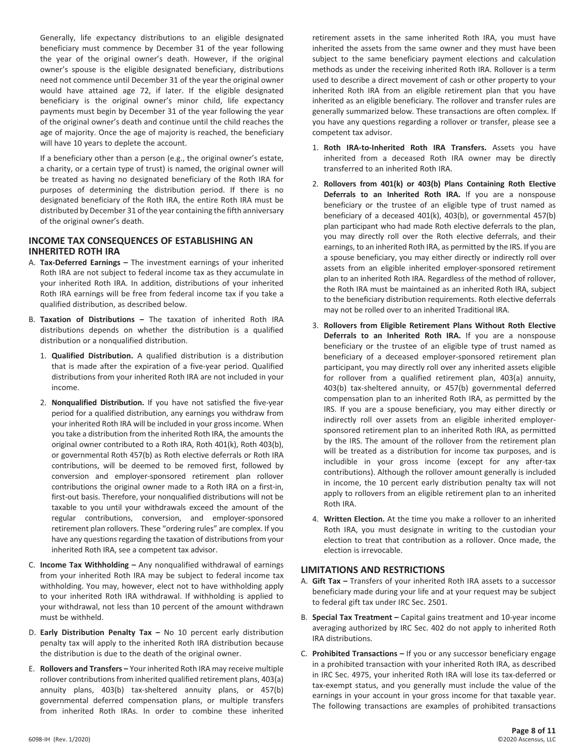Generally, life expectancy distributions to an eligible designated beneficiary must commence by December 31 of the year following the year of the original owner's death. However, if the original owner's spouse is the eligible designated beneficiary, distributions need not commence until December 31 of the year the original owner would have attained age 72, if later. If the eligible designated beneficiary is the original owner's minor child, life expectancy payments must begin by December 31 of the year following the year of the original owner's death and continue until the child reaches the age of majority. Once the age of majority is reached, the beneficiary will have 10 years to deplete the account.

 If a beneficiary other than a person (e.g., the original owner's estate, a charity, or a certain type of trust) is named, the original owner will be treated as having no designated beneficiary of the Roth IRA for purposes of determining the distribution period. If there is no designated beneficiary of the Roth IRA, the entire Roth IRA must be distributed by December 31 of the year containing the fifth anniversary of the original owner's death.

# **INCOME TAX CONSEQUENCES OF ESTABLISHING AN INHERITED ROTH IRA**

- A. **Tax-Deferred Earnings –** The investment earnings of your inherited Roth IRA are not subject to federal income tax as they accumulate in your inherited Roth IRA. In addition, distributions of your inherited Roth IRA earnings will be free from federal income tax if you take a qualified distribution, as described below.
- B. **Taxation of Distributions –** The taxation of inherited Roth IRA distributions depends on whether the distribution is a qualified distribution or a nonqualified distribution.
	- 1. **Qualified Distribution.** A qualified distribution is a distribution that is made after the expiration of a five-year period. Qualified distributions from your inherited Roth IRA are not included in your income.
	- 2. **Nonqualified Distribution.** If you have not satisfied the five-year period for a qualified distribution, any earnings you withdraw from your inherited Roth IRA will be included in your gross income. When you take a distribution from the inherited Roth IRA, the amounts the original owner contributed to a Roth IRA, Roth 401(k), Roth 403(b), or governmental Roth 457(b) as Roth elective deferrals or Roth IRA contributions, will be deemed to be removed first, followed by conversion and employer-sponsored retirement plan rollover contributions the original owner made to a Roth IRA on a first-in, first-out basis. Therefore, your nonqualified distributions will not be taxable to you until your withdrawals exceed the amount of the regular contributions, conversion, and employer-sponsored retirement plan rollovers. These "ordering rules" are complex. If you have any questions regarding the taxation of distributions from your inherited Roth IRA, see a competent tax advisor.
- C. **Income Tax Withholding –** Any nonqualified withdrawal of earnings from your inherited Roth IRA may be subject to federal income tax withholding. You may, however, elect not to have withholding apply to your inherited Roth IRA withdrawal. If withholding is applied to your withdrawal, not less than 10 percent of the amount withdrawn must be withheld.
- D. **Early Distribution Penalty Tax –** No 10 percent early distribution penalty tax will apply to the inherited Roth IRA distribution because the distribution is due to the death of the original owner.
- E. **Rollovers and Transfers –** Your inherited Roth IRA may receive multiple rollover contributions from inherited qualified retirement plans, 403(a) annuity plans, 403(b) tax-sheltered annuity plans, or 457(b) governmental deferred compensation plans, or multiple transfers from inherited Roth IRAs. In order to combine these inherited

retirement assets in the same inherited Roth IRA, you must have inherited the assets from the same owner and they must have been subject to the same beneficiary payment elections and calculation methods as under the receiving inherited Roth IRA. Rollover is a term used to describe a direct movement of cash or other property to your inherited Roth IRA from an eligible retirement plan that you have inherited as an eligible beneficiary. The rollover and transfer rules are generally summarized below. These transactions are often complex. If you have any questions regarding a rollover or transfer, please see a competent tax advisor.

- 1. **Roth IRA-to-Inherited Roth IRA Transfers.** Assets you have inherited from a deceased Roth IRA owner may be directly transferred to an inherited Roth IRA.
- 2. **Rollovers from 401(k) or 403(b) Plans Containing Roth Elective Deferrals to an Inherited Roth IRA.** If you are a nonspouse beneficiary or the trustee of an eligible type of trust named as beneficiary of a deceased 401(k), 403(b), or governmental 457(b) plan participant who had made Roth elective deferrals to the plan, you may directly roll over the Roth elective deferrals, and their earnings, to an inherited Roth IRA, as permitted by the IRS. If you are a spouse beneficiary, you may either directly or indirectly roll over assets from an eligible inherited employer-sponsored retirement plan to an inherited Roth IRA. Regardless of the method of rollover, the Roth IRA must be maintained as an inherited Roth IRA, subject to the beneficiary distribution requirements. Roth elective deferrals may not be rolled over to an inherited Traditional IRA.
- 3. **Rollovers from Eligible Retirement Plans Without Roth Elective Deferrals to an Inherited Roth IRA.** If you are a nonspouse beneficiary or the trustee of an eligible type of trust named as beneficiary of a deceased employer-sponsored retirement plan participant, you may directly roll over any inherited assets eligible for rollover from a qualified retirement plan, 403(a) annuity, 403(b) tax-sheltered annuity, or 457(b) governmental deferred compensation plan to an inherited Roth IRA, as permitted by the IRS. If you are a spouse beneficiary, you may either directly or indirectly roll over assets from an eligible inherited employersponsored retirement plan to an inherited Roth IRA, as permitted by the IRS. The amount of the rollover from the retirement plan will be treated as a distribution for income tax purposes, and is includible in your gross income (except for any after-tax contributions). Although the rollover amount generally is included in income, the 10 percent early distribution penalty tax will not apply to rollovers from an eligible retirement plan to an inherited Roth IRA.
- 4. **Written Election.** At the time you make a rollover to an inherited Roth IRA, you must designate in writing to the custodian your election to treat that contribution as a rollover. Once made, the election is irrevocable.

#### **LIMITATIONS AND RESTRICTIONS**

- A. **Gift Tax –** Transfers of your inherited Roth IRA assets to a successor beneficiary made during your life and at your request may be subject to federal gift tax under IRC Sec. 2501.
- B. **Special Tax Treatment –** Capital gains treatment and 10-year income averaging authorized by IRC Sec. 402 do not apply to inherited Roth IRA distributions.
- C. **Prohibited Transactions –** If you or any successor beneficiary engage in a prohibited transaction with your inherited Roth IRA, as described in IRC Sec. 4975, your inherited Roth IRA will lose its tax-deferred or tax-exempt status, and you generally must include the value of the earnings in your account in your gross income for that taxable year. The following transactions are examples of prohibited transactions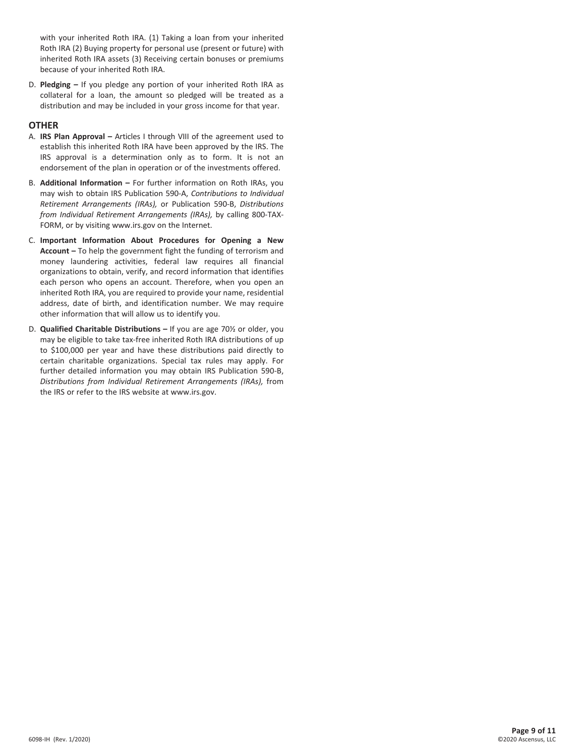with your inherited Roth IRA. (1) Taking a loan from your inherited Roth IRA (2) Buying property for personal use (present or future) with inherited Roth IRA assets (3) Receiving certain bonuses or premiums because of your inherited Roth IRA.

D. **Pledging –** If you pledge any portion of your inherited Roth IRA as collateral for a loan, the amount so pledged will be treated as a distribution and may be included in your gross income for that year.

#### **OTHER**

- A. **IRS Plan Approval –** Articles I through VIII of the agreement used to establish this inherited Roth IRA have been approved by the IRS. The IRS approval is a determination only as to form. It is not an endorsement of the plan in operation or of the investments offered.
- B. **Additional Information –** For further information on Roth IRAs, you may wish to obtain IRS Publication 590-A, *Contributions to Individual Retirement Arrangements (IRAs),* or Publication 590-B, *Distributions from Individual Retirement Arrangements (IRAs),* by calling 800-TAX-FORM, or by visiting www.irs.gov on the Internet.
- C. **Important Information About Procedures for Opening a New Account –** To help the government fight the funding of terrorism and money laundering activities, federal law requires all financial organizations to obtain, verify, and record information that identifies each person who opens an account. Therefore, when you open an inherited Roth IRA, you are required to provide your name, residential address, date of birth, and identification number. We may require other information that will allow us to identify you.
- D. **Qualified Charitable Distributions –** If you are age 70½ or older, you may be eligible to take tax-free inherited Roth IRA distributions of up to \$100,000 per year and have these distributions paid directly to certain charitable organizations. Special tax rules may apply. For further detailed information you may obtain IRS Publication 590-B, *Distributions from Individual Retirement Arrangements (IRAs),* from the IRS or refer to the IRS website at www.irs.gov.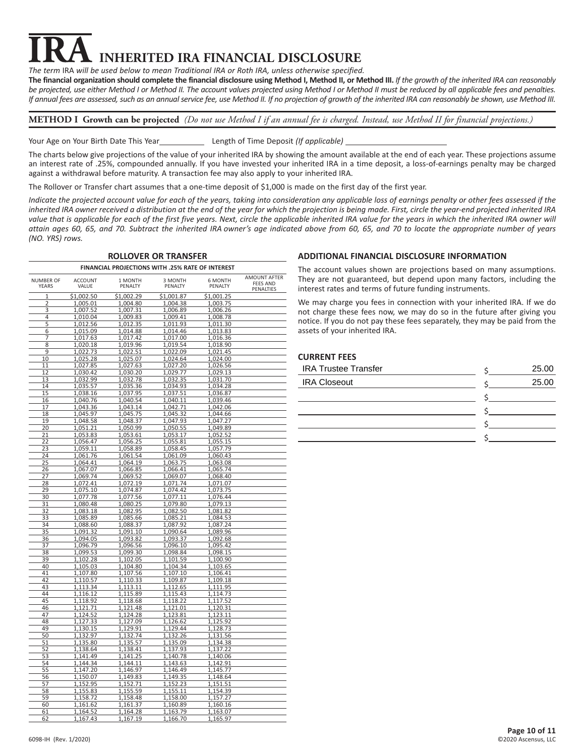# **INHERITED IRA FINANCIAL DISCLOSURE**

*The term* IRA *will be used below to mean Traditional IRA or Roth IRA, unless otherwise specified.*

**The financial organization should complete the financial disclosure using Method I, Method II, or Method III.** *If the growth of the inherited IRA can reasonably be projected, use either Method I or Method II. The account values projected using Method I or Method II must be reduced by all applicable fees and penalties. If annual fees are assessed, such as an annual service fee, use Method II. If no projection of growth of the inherited IRA can reasonably be shown, use Method III.*

**METHOD I Growth can be projected** *(Do not use Method I if an annual fee is charged. Instead, use Method II for financial projections.)*

Your Age on Your Birth Date This Year Length of Time Deposit *(If applicable)*

The charts below give projections of the value of your inherited IRA by showing the amount available at the end of each year. These projections assume an interest rate of .25%, compounded annually. If you have invested your inherited IRA in a time deposit, a loss-of-earnings penalty may be charged against a withdrawal before maturity. A transaction fee may also apply to your inherited IRA.

The Rollover or Transfer chart assumes that a one-time deposit of \$1,000 is made on the first day of the first year.

*Indicate the projected account value for each of the years, taking into consideration any applicable loss of earnings penalty or other fees assessed if the inherited IRA owner received a distribution at the end of the year for which the projection is being made. First, circle the year-end projected inherited IRA*  value that is applicable for each of the first five years. Next, circle the applicable inherited IRA value for the years in which the inherited IRA owner will *attain ages 60, 65, and 70. Subtract the inherited IRA owner's age indicated above from 60, 65, and 70 to locate the appropriate number of years (NO. YRS) rows.*

| <b>ROLLOVER OR TRANSFER</b>      |                         |                      |                                                  |                      |                                              |
|----------------------------------|-------------------------|----------------------|--------------------------------------------------|----------------------|----------------------------------------------|
|                                  |                         |                      | FINANCIAL PROJECTIONS WITH .25% RATE OF INTEREST |                      |                                              |
| <b>NUMBER OF</b><br><b>YEARS</b> | <b>ACCOUNT</b><br>VALUE | 1 MONTH<br>PENALTY   | 3 MONTH<br>PENALTY                               | 6 MONTH<br>PENALTY   | AMOUNT AFTER<br><b>FEES AND</b><br>PENALTIES |
| 1                                | \$1,002.50              | \$1,002.29           | \$1,001.87                                       | \$1,001.25           |                                              |
| 2                                | 1,005.01                | 1,004.80             | 1,004.38                                         | 1,003.75             |                                              |
| 3                                | 1,007.52                | 1,007.31             | 1,006.89                                         | 1,006.26             |                                              |
| 4                                | 1,010.04                | 1,009.83             | 1,009.41                                         | 1,008.78             |                                              |
| 5                                | 1,012.56                | 1,012.35             | 1,011.93                                         | 1,011.30             |                                              |
| 6                                | 1,015.09                | 1,014.88             | 1,014.46                                         | 1,013.83             |                                              |
| 7                                | 1,017.63                | 1,017.42             | 1,017.00                                         | 1,016.36             |                                              |
| 8                                | 1,020.18                | 1,019.96             | 1,019.54                                         | 1,018.90             |                                              |
| 9<br>10                          | 1,022.73                | 1,022.51             | 1,022.09                                         | 1,021.45             |                                              |
| 11                               | 1,025.28<br>1,027.85    | 1,025.07<br>1,027.63 | 1,024.64<br>1,027.20                             | 1,024.00<br>1,026.56 |                                              |
| 12                               | 1,030.42                | 1,030.20             | 1,029.77                                         | 1,029.13             |                                              |
| 13                               | 1,032.99                | 1,032.78             | 1,032.35                                         | 1,031.70             |                                              |
| 14                               | 1,035.57                | 1,035.36             | 1,034.93                                         | 1,034.28             |                                              |
| 15                               | 1,038.16                | 1,037.95             | 1,037.51                                         | 1,036.87             |                                              |
| 16                               | 1,040.76                | 1,040.54             | 1,040.11                                         | 1,039.46             |                                              |
| 17                               | 1,043.36                | 1,043.14             | 1,042.71                                         | 1,042.06             |                                              |
| 18                               | 1,045.97                | 1,045.75             | 1,045.32                                         | 1,044.66             |                                              |
| 19                               | 1,048.58                | 1,048.37             | 1,047.93                                         | 1,047.27             |                                              |
| 20                               | 1,051.21                | 1,050.99             | 1,050.55                                         | 1,049.89             |                                              |
| 21                               | 1,053.83                | 1,053.61             | 1,053.17                                         | 1,052.52             |                                              |
| 22                               | 1,056.47                | 1,056.25             | 1,055.81                                         | 1,055.15             |                                              |
| 23                               | 1,059.11                | 1,058.89             | 1,058.45                                         | 1,057.79             |                                              |
| 24                               | 1,061.76                | 1,061.54             | 1,061.09                                         | 1,060.43             |                                              |
| 25                               | 1,064.41                | 1,064.19             | 1,063.75                                         | 1,063.08             |                                              |
| 26<br>27                         | 1,067.07<br>1,069.74    | 1,066.85<br>1,069.52 | 1,066.41<br>1,069.07                             | 1,065.74<br>1,068.40 |                                              |
| 28                               | 1,072.41                | 1,072.19             | 1,071.74                                         | 1,071.07             |                                              |
| 29                               | 1,075.10                | 1,074.87             | 1,074.42                                         | 1,073.75             |                                              |
| 30                               | 1,077.78                | 1,077.56             | 1,077.11                                         | 1,076.44             |                                              |
| 31                               | 1,080.48                | 1,080.25             | 1,079.80                                         | 1,079.13             |                                              |
| 32                               | 1,083.18                | 1,082.95             | 1,082.50                                         | 1,081.82             |                                              |
| 33                               | 1,085.89                | 1,085.66             | 1,085.21                                         | 1,084.53             |                                              |
| 34                               | 1,088.60                | 1,088.37             | 1,087.92                                         | 1,087.24             |                                              |
| 35                               | 1,091.32                | 1,091.10             | 1,090.64                                         | 1,089.96             |                                              |
| 36                               | 1,094.05                | 1,093.82             | 1,093.37                                         | 1,092.68             |                                              |
| 37                               | 1,096.79                | 1,096.56             | 1,096.10                                         | 1,095.42             |                                              |
| 38                               | 1,099.53                | 1,099.30             | 1,098.84                                         | 1,098.15             |                                              |
| 39                               | 1,102.28                | 1,102.05             | 1,101.59                                         | 1,100.90             |                                              |
| 40<br>41                         | 1,105.03                | 1,104.80             | 1,104.34                                         | 1,103.65             |                                              |
| 42                               | 1,107.80<br>1,110.57    | 1,107.56<br>1,110.33 | 1,107.10<br>1,109.87                             | 1,106.41<br>1,109.18 |                                              |
| 43                               | 1,113.34                | 1,113.11             | 1,112.65                                         | 1,111.95             |                                              |
| 44                               | 1,116.12                | 1,115.89             | 1,115.43                                         | 1,114.73             |                                              |
| 45                               | 1,118.92                | 1,118.68             | 1,118.22                                         | 1,117.52             |                                              |
| 46                               | 1,121.71                | 1,121.48             | 1,121.01                                         | 1,120.31             |                                              |
| 47                               | 1,124.52                | 1,124.28             | 1,123.81                                         | 1,123.11             |                                              |
| 48                               | 1,127.33                | 1,127.09             | 1,126.62                                         | 1,125.92             |                                              |
| 49                               | 1,130.15                | 1,129.91             | 1,129.44                                         | 1,128.73             |                                              |
| 50                               | 1,132.97                | 1,132.74             | 1,132.26                                         | 1,131.56             |                                              |
| 51                               | 1,135.80                | 1,135.57             | 1,135.09                                         | 1,134.38             |                                              |
| 52                               | 1,138.64                | 1,138.41             | 1,137.93                                         | 1,137.22             |                                              |
| 53                               | 1,141.49                | 1,141.25             | 1,140.78                                         | 1,140.06             |                                              |
| 54                               | 1,144.34                | 1,144.11             | 1,143.63                                         | 1,142.91             |                                              |
| 55                               | 1,147.20                | 1,146.97             | 1,146.49                                         | 1,145.77             |                                              |
| 56<br>57                         | 1,150.07<br>1,152.95    | 1,149.83<br>1,152.71 | 1,149.35<br>1,152.23                             | 1,148.64<br>1,151.51 |                                              |
| 58                               | 1,155.83                | 1,155.59             | <u>1,155.11</u>                                  | 1,154.39             |                                              |
| 59                               | 1,158.72                | 1,158.48             | 1,158.00                                         | 1,157.27             |                                              |
| 60                               | 1,161.62                | 1,161.37             | 1,160.89                                         | 1,160.16             |                                              |
| 61                               | 1,164.52                | 1,164.28             | 1,163.79                                         | 1,163.07             |                                              |
| 62                               | 1,167.43                | 1,167.19             | 1,166.70                                         | 1,165.97             |                                              |

# **ADDITIONAL FINANCIAL DISCLOSURE INFORMATION**

The account values shown are projections based on many assumptions. They are not guaranteed, but depend upon many factors, including the interest rates and terms of future funding instruments.

We may charge you fees in connection with your inherited IRA. If we do not charge these fees now, we may do so in the future after giving you notice. If you do not pay these fees separately, they may be paid from the assets of your inherited IRA.

# **CURRENT FEES**

| <b>IRA Trustee Transfer</b> | 25.00 |
|-----------------------------|-------|
| <b>IRA Closeout</b>         | 25.00 |
|                             |       |
|                             |       |
|                             |       |
|                             |       |